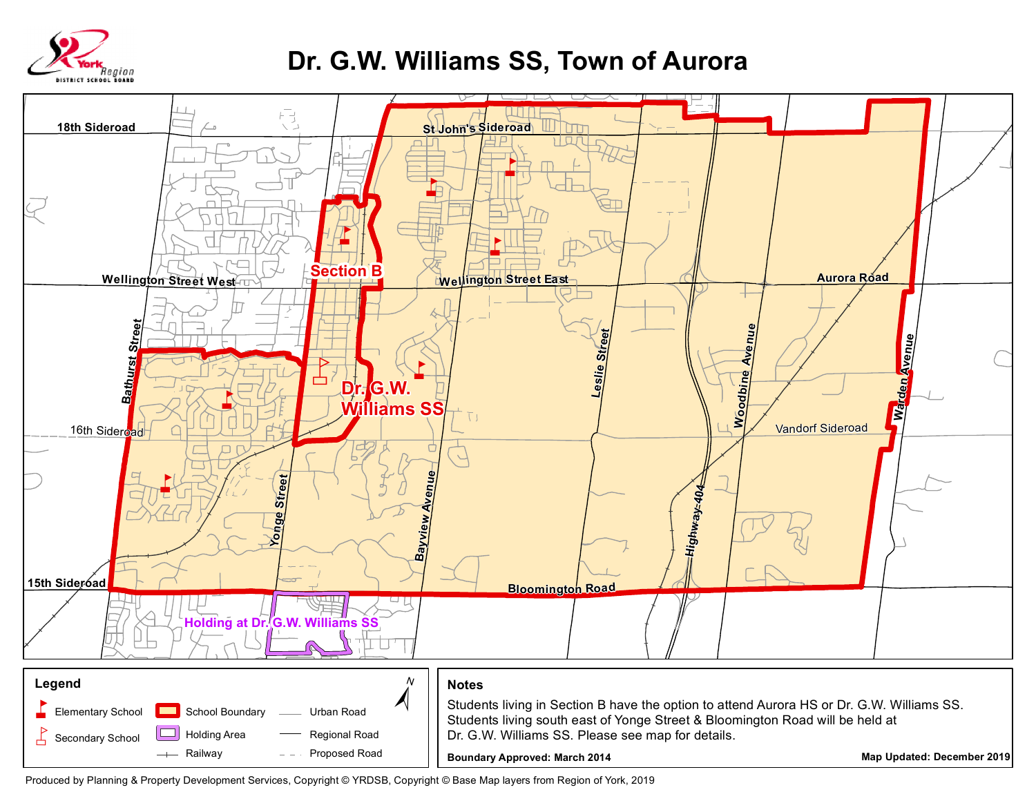

## **Dr. G.W. Williams SS, Town of Aurora**



Produced by Planning & Property Development Services, Copyright © YRDSB, Copyright © Base Map layers from Region of York, 2019